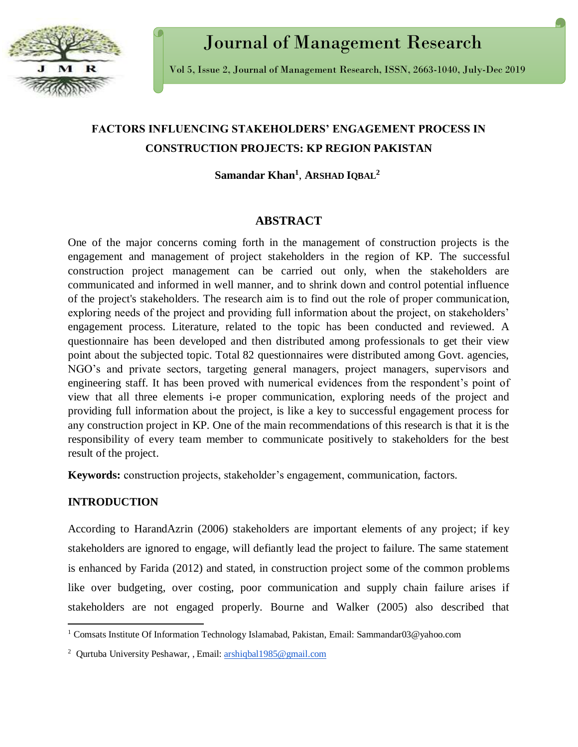

# Journal of Management Research

Vol 5, Issue 2, Journal of Management Research, ISSN, 2663-1040, July-Dec 2019

# **FACTORS INFLUENCING STAKEHOLDERS' ENGAGEMENT PROCESS IN CONSTRUCTION PROJECTS: KP REGION PAKISTAN**

**Samandar Khan<sup>1</sup>** , **ARSHAD IQBAL<sup>2</sup>**

# **ABSTRACT**

One of the major concerns coming forth in the management of construction projects is the engagement and management of project stakeholders in the region of KP. The successful construction project management can be carried out only, when the stakeholders are communicated and informed in well manner, and to shrink down and control potential influence of the project's stakeholders. The research aim is to find out the role of proper communication, exploring needs of the project and providing full information about the project, on stakeholders' engagement process. Literature, related to the topic has been conducted and reviewed. A questionnaire has been developed and then distributed among professionals to get their view point about the subjected topic. Total 82 questionnaires were distributed among Govt. agencies, NGO's and private sectors, targeting general managers, project managers, supervisors and engineering staff. It has been proved with numerical evidences from the respondent's point of view that all three elements i-e proper communication, exploring needs of the project and providing full information about the project, is like a key to successful engagement process for any construction project in KP. One of the main recommendations of this research is that it is the responsibility of every team member to communicate positively to stakeholders for the best result of the project.

**Keywords:** construction projects, stakeholder's engagement, communication, factors.

# **INTRODUCTION**

 $\overline{a}$ 

According to HarandAzrin (2006) stakeholders are important elements of any project; if key stakeholders are ignored to engage, will defiantly lead the project to failure. The same statement is enhanced by Farida (2012) and stated, in construction project some of the common problems like over budgeting, over costing, poor communication and supply chain failure arises if stakeholders are not engaged properly. Bourne and Walker (2005) also described that

<sup>&</sup>lt;sup>1</sup> Comsats Institute Of Information Technology Islamabad, Pakistan, Email: Sammandar03@yahoo.com

<sup>&</sup>lt;sup>2</sup> Qurtuba University Peshawar, , Email: [arshiqbal1985@gmail.com](mailto:arshiqbal1985@gmail.com)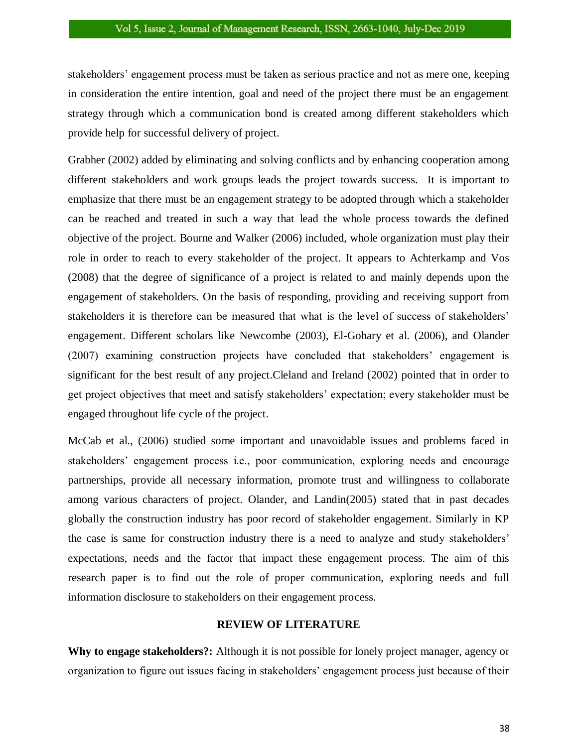stakeholders' engagement process must be taken as serious practice and not as mere one, keeping in consideration the entire intention, goal and need of the project there must be an engagement strategy through which a communication bond is created among different stakeholders which provide help for successful delivery of project.

Grabher (2002) added by eliminating and solving conflicts and by enhancing cooperation among different stakeholders and work groups leads the project towards success. It is important to emphasize that there must be an engagement strategy to be adopted through which a stakeholder can be reached and treated in such a way that lead the whole process towards the defined objective of the project. Bourne and Walker (2006) included, whole organization must play their role in order to reach to every stakeholder of the project. It appears to Achterkamp and Vos (2008) that the degree of significance of a project is related to and mainly depends upon the engagement of stakeholders. On the basis of responding, providing and receiving support from stakeholders it is therefore can be measured that what is the level of success of stakeholders' engagement. Different scholars like Newcombe (2003), El-Gohary et al. (2006), and Olander (2007) examining construction projects have concluded that stakeholders' engagement is significant for the best result of any project.Cleland and Ireland (2002) pointed that in order to get project objectives that meet and satisfy stakeholders' expectation; every stakeholder must be engaged throughout life cycle of the project.

McCab et al., (2006) studied some important and unavoidable issues and problems faced in stakeholders' engagement process i.e., poor communication, exploring needs and encourage partnerships, provide all necessary information, promote trust and willingness to collaborate among various characters of project. Olander, and Landin(2005) stated that in past decades globally the construction industry has poor record of stakeholder engagement. Similarly in KP the case is same for construction industry there is a need to analyze and study stakeholders' expectations, needs and the factor that impact these engagement process. The aim of this research paper is to find out the role of proper communication, exploring needs and full information disclosure to stakeholders on their engagement process.

#### **REVIEW OF LITERATURE**

**Why to engage stakeholders?:** Although it is not possible for lonely project manager, agency or organization to figure out issues facing in stakeholders' engagement process just because of their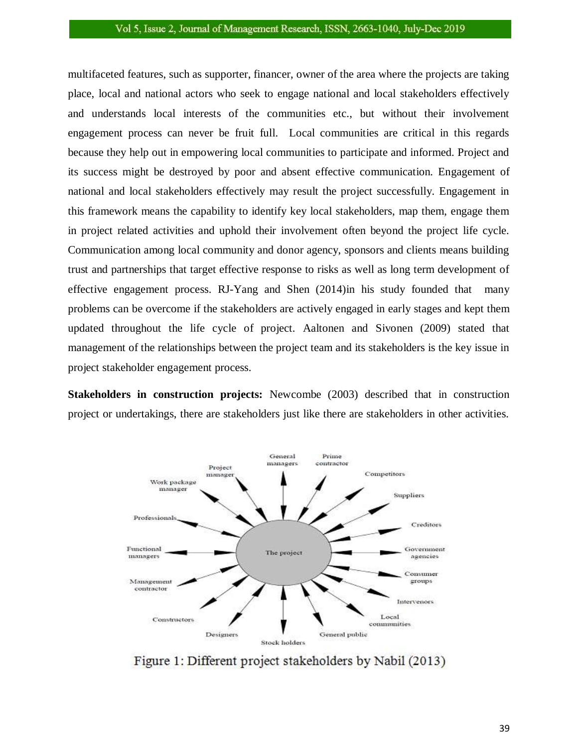multifaceted features, such as supporter, financer, owner of the area where the projects are taking place, local and national actors who seek to engage national and local stakeholders effectively and understands local interests of the communities etc., but without their involvement engagement process can never be fruit full. Local communities are critical in this regards because they help out in empowering local communities to participate and informed. Project and its success might be destroyed by poor and absent effective communication. Engagement of national and local stakeholders effectively may result the project successfully. Engagement in this framework means the capability to identify key local stakeholders, map them, engage them in project related activities and uphold their involvement often beyond the project life cycle. Communication among local community and donor agency, sponsors and clients means building trust and partnerships that target effective response to risks as well as long term development of effective engagement process. RJ-Yang and Shen (2014)in his study founded that many problems can be overcome if the stakeholders are actively engaged in early stages and kept them updated throughout the life cycle of project. Aaltonen and Sivonen (2009) stated that management of the relationships between the project team and its stakeholders is the key issue in project stakeholder engagement process.

**Stakeholders in construction projects:** Newcombe (2003) described that in construction project or undertakings, there are stakeholders just like there are stakeholders in other activities.



Figure 1: Different project stakeholders by Nabil (2013)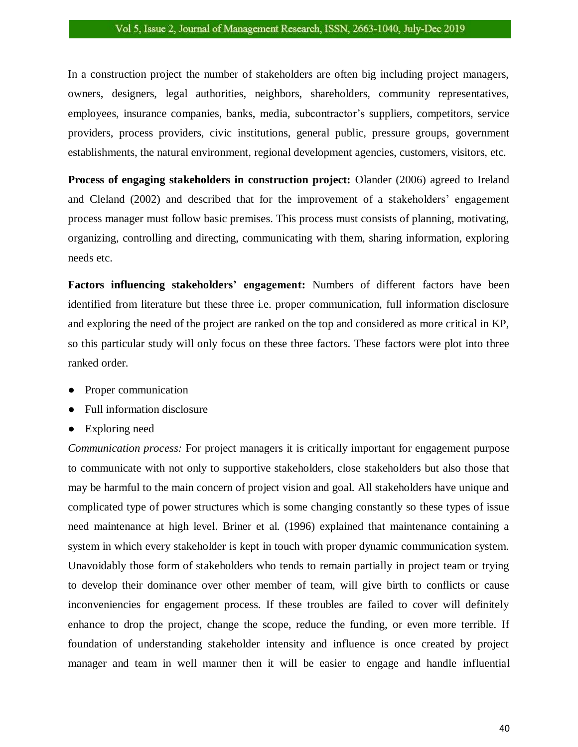In a construction project the number of stakeholders are often big including project managers, owners, designers, legal authorities, neighbors, shareholders, community representatives, employees, insurance companies, banks, media, subcontractor's suppliers, competitors, service providers, process providers, civic institutions, general public, pressure groups, government establishments, the natural environment, regional development agencies, customers, visitors, etc.

**Process of engaging stakeholders in construction project:** Olander (2006) agreed to Ireland and Cleland (2002) and described that for the improvement of a stakeholders' engagement process manager must follow basic premises. This process must consists of planning, motivating, organizing, controlling and directing, communicating with them, sharing information, exploring needs etc.

**Factors influencing stakeholders' engagement:** Numbers of different factors have been identified from literature but these three i.e. proper communication, full information disclosure and exploring the need of the project are ranked on the top and considered as more critical in KP, so this particular study will only focus on these three factors. These factors were plot into three ranked order.

- Proper communication
- Full information disclosure
- Exploring need

*Communication process:* For project managers it is critically important for engagement purpose to communicate with not only to supportive stakeholders, close stakeholders but also those that may be harmful to the main concern of project vision and goal. All stakeholders have unique and complicated type of power structures which is some changing constantly so these types of issue need maintenance at high level. Briner et al. (1996) explained that maintenance containing a system in which every stakeholder is kept in touch with proper dynamic communication system. Unavoidably those form of stakeholders who tends to remain partially in project team or trying to develop their dominance over other member of team, will give birth to conflicts or cause inconveniencies for engagement process. If these troubles are failed to cover will definitely enhance to drop the project, change the scope, reduce the funding, or even more terrible. If foundation of understanding stakeholder intensity and influence is once created by project manager and team in well manner then it will be easier to engage and handle influential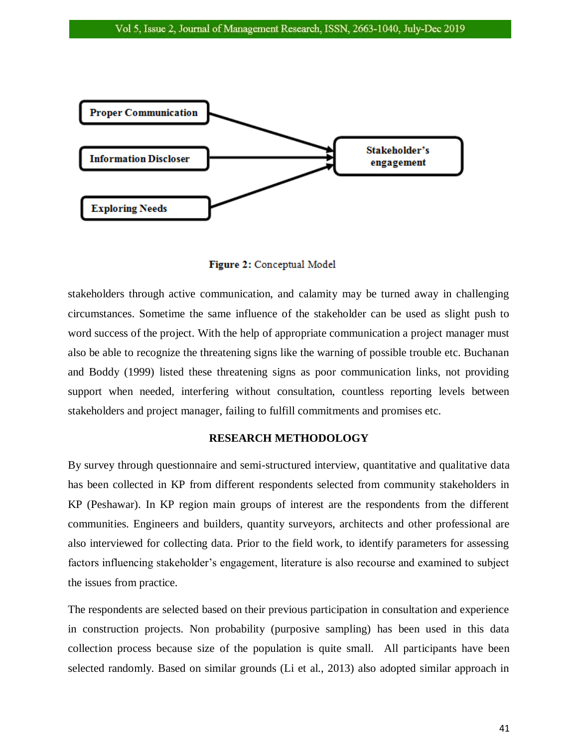

Figure 2: Conceptual Model

stakeholders through active communication, and calamity may be turned away in challenging circumstances. Sometime the same influence of the stakeholder can be used as slight push to word success of the project. With the help of appropriate communication a project manager must also be able to recognize the threatening signs like the warning of possible trouble etc. Buchanan and Boddy (1999) listed these threatening signs as poor communication links, not providing support when needed, interfering without consultation, countless reporting levels between stakeholders and project manager, failing to fulfill commitments and promises etc.

# **RESEARCH METHODOLOGY**

By survey through questionnaire and semi-structured interview, quantitative and qualitative data has been collected in KP from different respondents selected from community stakeholders in KP (Peshawar). In KP region main groups of interest are the respondents from the different communities. Engineers and builders, quantity surveyors, architects and other professional are also interviewed for collecting data. Prior to the field work, to identify parameters for assessing factors influencing stakeholder's engagement, literature is also recourse and examined to subject the issues from practice.

The respondents are selected based on their previous participation in consultation and experience in construction projects. Non probability (purposive sampling) has been used in this data collection process because size of the population is quite small. All participants have been selected randomly. Based on similar grounds (Li et al., 2013) also adopted similar approach in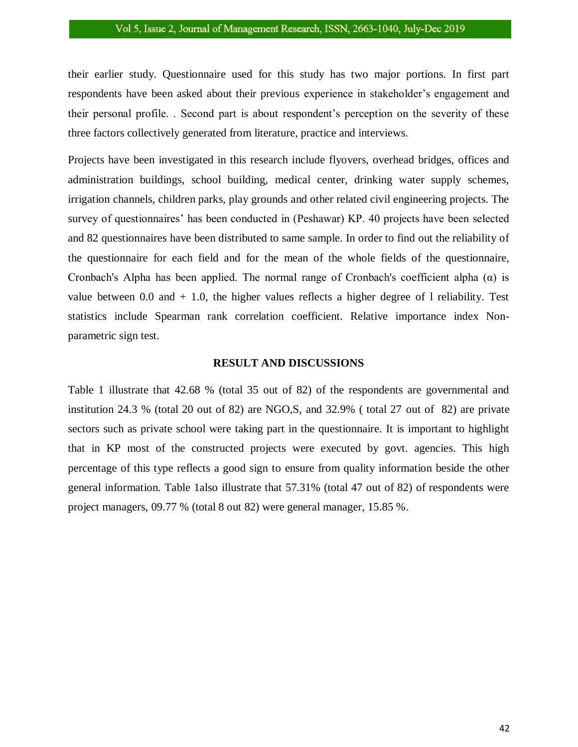their earlier study. Questionnaire used for this study has two major portions. In first part respondents have been asked about their previous experience in stakeholder's engagement and their personal profile. . Second part is about respondent's perception on the severity of these three factors collectively generated from literature, practice and interviews.

Projects have been investigated in this research include flyovers, overhead bridges, offices and administration buildings, school building, medical center, drinking water supply schemes, irrigation channels, children parks, play grounds and other related civil engineering projects. The survey of questionnaires' has been conducted in (Peshawar) KP. 40 projects have been selected and 82 questionnaires have been distributed to same sample. In order to find out the reliability of the questionnaire for each field and for the mean of the whole fields of the questionnaire, Cronbach's Alpha has been applied. The normal range of Cronbach's coefficient alpha  $(\alpha)$  is value between 0.0 and  $+$  1.0, the higher values reflects a higher degree of 1 reliability. Test statistics include Spearman rank correlation coefficient. Relative importance index Nonparametric sign test.

#### **RESULT AND DISCUSSIONS**

Table 1 illustrate that 42.68 % (total 35 out of 82) of the respondents are governmental and institution 24.3 % (total 20 out of 82) are NGO,S, and 32.9% ( total 27 out of 82) are private sectors such as private school were taking part in the questionnaire. It is important to highlight that in KP most of the constructed projects were executed by govt. agencies. This high percentage of this type reflects a good sign to ensure from quality information beside the other general information. Table 1also illustrate that 57.31% (total 47 out of 82) of respondents were project managers, 09.77 % (total 8 out 82) were general manager, 15.85 %.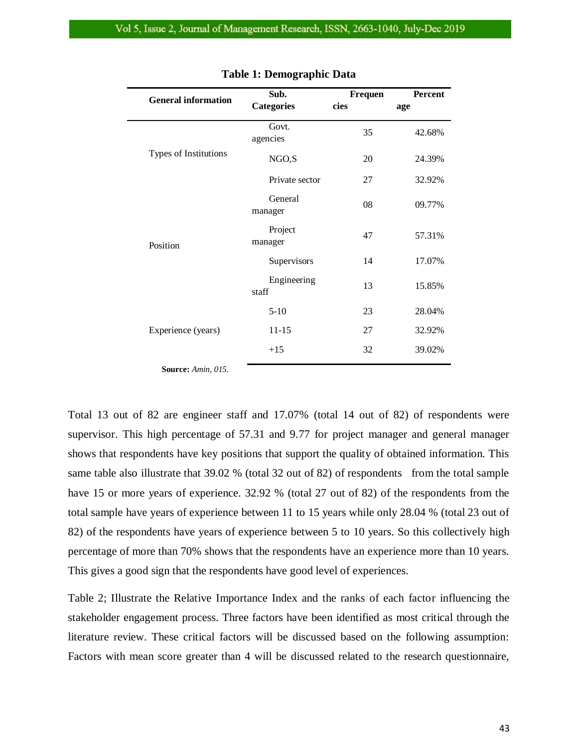| <b>General information</b> | Sub.                 | <b>Frequen</b> | Percent |
|----------------------------|----------------------|----------------|---------|
|                            | <b>Categories</b>    | cies<br>age    |         |
| Types of Institutions      | Govt.<br>agencies    | 35             | 42.68%  |
|                            | NGO,S                | 20             | 24.39%  |
|                            | Private sector       | 27             | 32.92%  |
| Position                   | General<br>manager   | 08             | 09.77%  |
|                            | Project<br>manager   | 47             | 57.31%  |
|                            | Supervisors          | 14             | 17.07%  |
|                            | Engineering<br>staff | 13             | 15.85%  |
| Experience (years)         | $5-10$               | 23             | 28.04%  |
|                            | $11 - 15$            | 27             | 32.92%  |
|                            | $+15$                | 32             | 39.02%  |
|                            |                      |                |         |

#### **Table 1: Demographic Data**

**Source:** *Amin, 015.*

Total 13 out of 82 are engineer staff and 17.07% (total 14 out of 82) of respondents were supervisor. This high percentage of 57.31 and 9.77 for project manager and general manager shows that respondents have key positions that support the quality of obtained information. This same table also illustrate that 39.02 % (total 32 out of 82) of respondents from the total sample have 15 or more years of experience. 32.92 % (total 27 out of 82) of the respondents from the total sample have years of experience between 11 to 15 years while only 28.04 % (total 23 out of 82) of the respondents have years of experience between 5 to 10 years. So this collectively high percentage of more than 70% shows that the respondents have an experience more than 10 years. This gives a good sign that the respondents have good level of experiences.

Table 2; Illustrate the Relative Importance Index and the ranks of each factor influencing the stakeholder engagement process. Three factors have been identified as most critical through the literature review. These critical factors will be discussed based on the following assumption: Factors with mean score greater than 4 will be discussed related to the research questionnaire,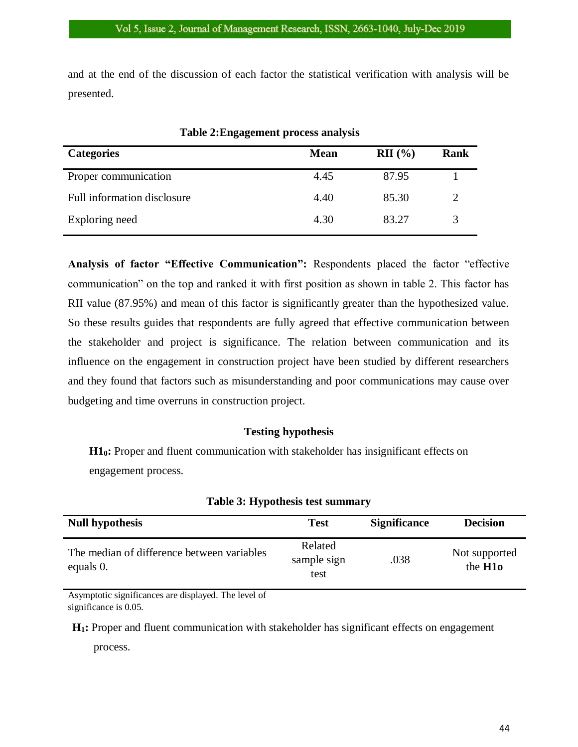and at the end of the discussion of each factor the statistical verification with analysis will be presented.

| Tuble <b>Finite</b> Senione process unurgens |             |                    |             |  |
|----------------------------------------------|-------------|--------------------|-------------|--|
| <b>Categories</b>                            | <b>Mean</b> | $\mathbf{RII}$ (%) | <b>Rank</b> |  |
| Proper communication                         | 4.45        | 87.95              |             |  |
| Full information disclosure                  | 4.40        | 85.30              | 2           |  |
| Exploring need                               | 4.30        | 83.27              |             |  |

**Table 2:Engagement process analysis**

**Analysis of factor "Effective Communication":** Respondents placed the factor "effective communication" on the top and ranked it with first position as shown in table 2. This factor has RII value (87.95%) and mean of this factor is significantly greater than the hypothesized value. So these results guides that respondents are fully agreed that effective communication between the stakeholder and project is significance. The relation between communication and its influence on the engagement in construction project have been studied by different researchers and they found that factors such as misunderstanding and poor communications may cause over budgeting and time overruns in construction project.

# **Testing hypothesis**

**H10:** Proper and fluent communication with stakeholder has insignificant effects on engagement process.

| <b>Null hypothesis</b>                                  | <b>Test</b>                    | <b>Significance</b> | <b>Decision</b>                            |
|---------------------------------------------------------|--------------------------------|---------------------|--------------------------------------------|
| The median of difference between variables<br>equals 0. | Related<br>sample sign<br>test | .038                | Not supported<br>the <b>H<sub>10</sub></b> |

# **Table 3: Hypothesis test summary**

Asymptotic significances are displayed. The level of significance is 0.05.

**H1:** Proper and fluent communication with stakeholder has significant effects on engagement

process.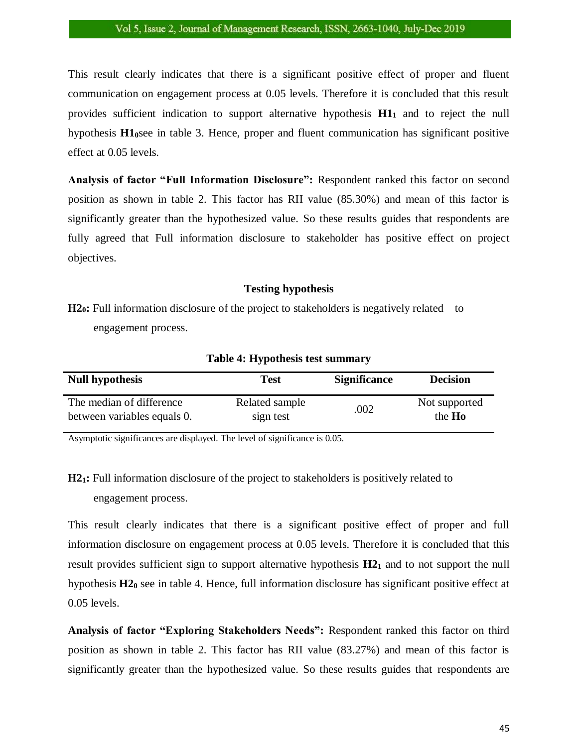This result clearly indicates that there is a significant positive effect of proper and fluent communication on engagement process at 0.05 levels. Therefore it is concluded that this result provides sufficient indication to support alternative hypothesis **H1<sup>1</sup>** and to reject the null hypothesis **H10**see in table 3. Hence, proper and fluent communication has significant positive effect at 0.05 levels.

**Analysis of factor "Full Information Disclosure":** Respondent ranked this factor on second position as shown in table 2. This factor has RII value (85.30%) and mean of this factor is significantly greater than the hypothesized value. So these results guides that respondents are fully agreed that Full information disclosure to stakeholder has positive effect on project objectives.

#### **Testing hypothesis**

**H2<sub>0</sub>**: Full information disclosure of the project to stakeholders is negatively related to engagement process.

| <b>Null hypothesis</b>      | Test           | <b>Significance</b> | <b>Decision</b> |
|-----------------------------|----------------|---------------------|-----------------|
| The median of difference    | Related sample | .002                | Not supported   |
| between variables equals 0. | sign test      |                     | the <b>Ho</b>   |

**Table 4: Hypothesis test summary**

Asymptotic significances are displayed. The level of significance is 0.05.

**H21:** Full information disclosure of the project to stakeholders is positively related to engagement process.

This result clearly indicates that there is a significant positive effect of proper and full information disclosure on engagement process at 0.05 levels. Therefore it is concluded that this result provides sufficient sign to support alternative hypothesis **H2<sup>1</sup>** and to not support the null hypothesis **H2<sup>0</sup>** see in table 4. Hence, full information disclosure has significant positive effect at 0.05 levels.

**Analysis of factor "Exploring Stakeholders Needs":** Respondent ranked this factor on third position as shown in table 2. This factor has RII value (83.27%) and mean of this factor is significantly greater than the hypothesized value. So these results guides that respondents are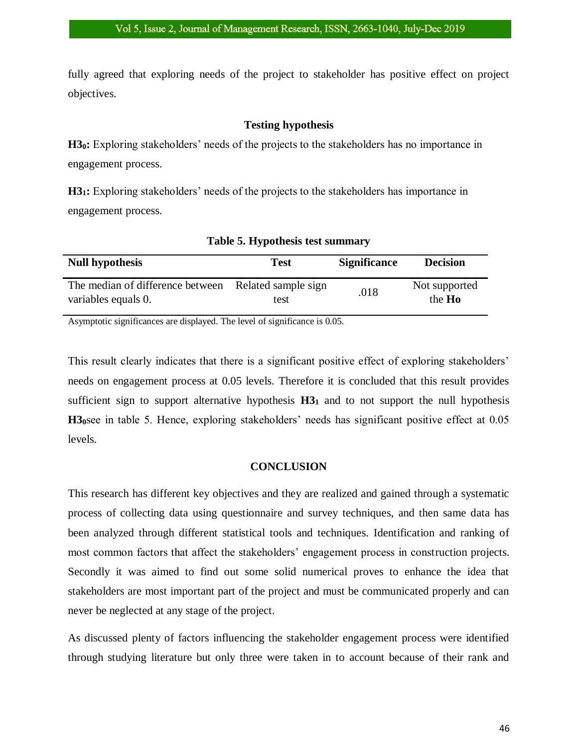fully agreed that exploring needs of the project to stakeholder has positive effect on project objectives.

# **Testing hypothesis**

**H30:** Exploring stakeholders' needs of the projects to the stakeholders has no importance in engagement process.

**H31:** Exploring stakeholders' needs of the projects to the stakeholders has importance in engagement process.

| <b>Null hypothesis</b>                                  | Test                        | <b>Significance</b> | <b>Decision</b>         |
|---------------------------------------------------------|-----------------------------|---------------------|-------------------------|
| The median of difference between<br>variables equals 0. | Related sample sign<br>test | .018                | Not supported<br>the Ho |

|  |  | Table 5. Hypothesis test summary |
|--|--|----------------------------------|
|  |  |                                  |

Asymptotic significances are displayed. The level of significance is 0.05.

This result clearly indicates that there is a significant positive effect of exploring stakeholders' needs on engagement process at 0.05 levels. Therefore it is concluded that this result provides sufficient sign to support alternative hypothesis **H3<sup>1</sup>** and to not support the null hypothesis **H30**see in table 5. Hence, exploring stakeholders' needs has significant positive effect at 0.05 levels.

# **CONCLUSION**

This research has different key objectives and they are realized and gained through a systematic process of collecting data using questionnaire and survey techniques, and then same data has been analyzed through different statistical tools and techniques. Identification and ranking of most common factors that affect the stakeholders' engagement process in construction projects. Secondly it was aimed to find out some solid numerical proves to enhance the idea that stakeholders are most important part of the project and must be communicated properly and can never be neglected at any stage of the project.

As discussed plenty of factors influencing the stakeholder engagement process were identified through studying literature but only three were taken in to account because of their rank and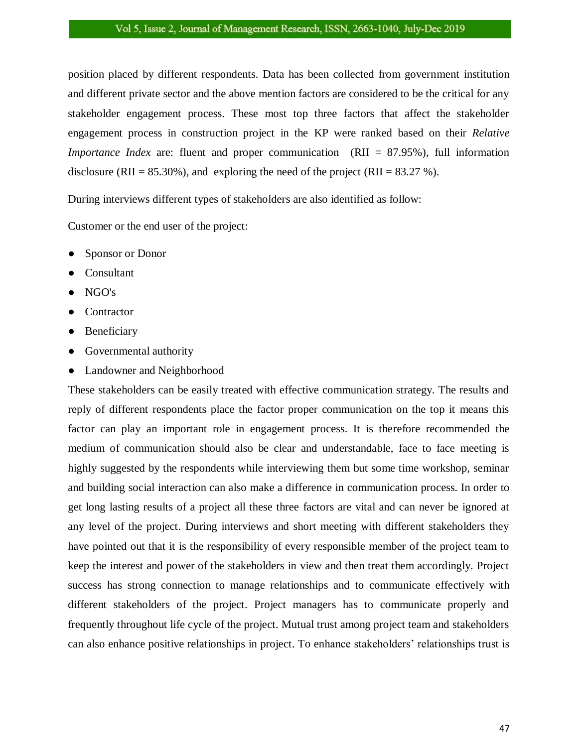position placed by different respondents. Data has been collected from government institution and different private sector and the above mention factors are considered to be the critical for any stakeholder engagement process. These most top three factors that affect the stakeholder engagement process in construction project in the KP were ranked based on their *Relative Importance Index* are: fluent and proper communication (RII = 87.95%), full information disclosure (RII =  $85.30\%$ ), and exploring the need of the project (RII =  $83.27\%$ ).

During interviews different types of stakeholders are also identified as follow:

Customer or the end user of the project:

- Sponsor or Donor
- Consultant
- NGO's
- Contractor
- **Beneficiary**
- Governmental authority
- Landowner and Neighborhood

These stakeholders can be easily treated with effective communication strategy. The results and reply of different respondents place the factor proper communication on the top it means this factor can play an important role in engagement process. It is therefore recommended the medium of communication should also be clear and understandable, face to face meeting is highly suggested by the respondents while interviewing them but some time workshop, seminar and building social interaction can also make a difference in communication process. In order to get long lasting results of a project all these three factors are vital and can never be ignored at any level of the project. During interviews and short meeting with different stakeholders they have pointed out that it is the responsibility of every responsible member of the project team to keep the interest and power of the stakeholders in view and then treat them accordingly. Project success has strong connection to manage relationships and to communicate effectively with different stakeholders of the project. Project managers has to communicate properly and frequently throughout life cycle of the project. Mutual trust among project team and stakeholders can also enhance positive relationships in project. To enhance stakeholders' relationships trust is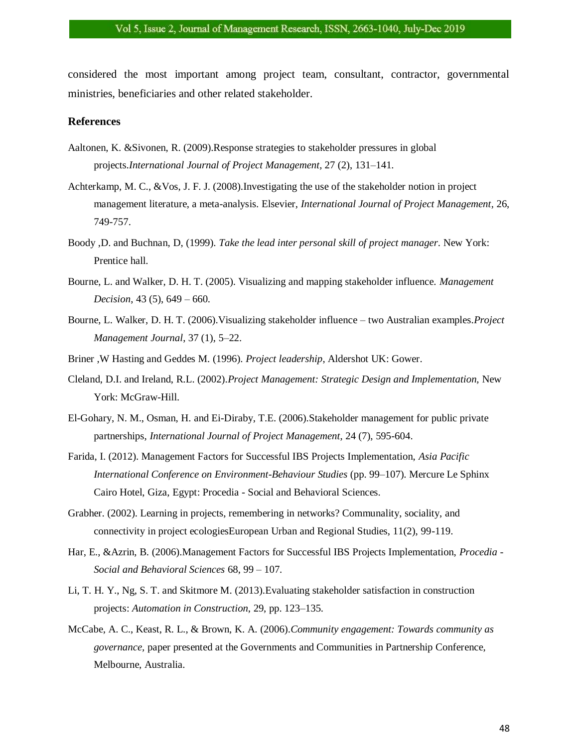considered the most important among project team, consultant, contractor, governmental ministries, beneficiaries and other related stakeholder.

### **References**

- Aaltonen, K. &Sivonen, R. (2009).Response strategies to stakeholder pressures in global projects.*International Journal of Project Management,* 27 (2), 131–141.
- Achterkamp, M. C., &Vos, J. F. J. (2008).Investigating the use of the stakeholder notion in project management literature, a meta-analysis. Elsevier, *International Journal of Project Management*, 26, 749-757.
- Boody ,D. and Buchnan, D, (1999). *Take the lead inter personal skill of project manager*. New York: Prentice hall.
- Bourne, L. and Walker, D. H. T. (2005). Visualizing and mapping stakeholder influence. *Management Decision*, 43 (5), 649 – 660.
- Bourne, L. Walker, D. H. T. (2006).Visualizing stakeholder influence two Australian examples.*Project Management Journal*, 37 (1), 5–22.
- Briner ,W Hasting and Geddes M. (1996). *Project leadership*, Aldershot UK: Gower.
- Cleland, D.I. and Ireland, R.L. (2002).*Project Management: Strategic Design and Implementation,* New York: McGraw-Hill.
- El-Gohary, N. M., Osman, H. and Ei-Diraby, T.E. (2006).Stakeholder management for public private partnerships, *International Journal of Project Management*, 24 (7), 595-604.
- Farida, I. (2012). Management Factors for Successful IBS Projects Implementation, *Asia Pacific International Conference on Environment-Behaviour Studies* (pp. 99–107). Mercure Le Sphinx Cairo Hotel, Giza, Egypt: Procedia - Social and Behavioral Sciences.
- Grabher. (2002). Learning in projects, remembering in networks? Communality, sociality, and connectivity in project ecologiesEuropean Urban and Regional Studies, 11(2), 99-119.
- Har, E., &Azrin, B. (2006).Management Factors for Successful IBS Projects Implementation, *Procedia - Social and Behavioral Sciences* 68, 99 – 107.
- Li, T. H. Y., Ng, S. T. and Skitmore M. (2013).Evaluating stakeholder satisfaction in construction projects: *Automation in Construction*, 29, pp. 123–135.
- McCabe, A. C., Keast, R. L., & Brown, K. A. (2006).*Community engagement: Towards community as governance,* paper presented at the Governments and Communities in Partnership Conference, Melbourne, Australia.